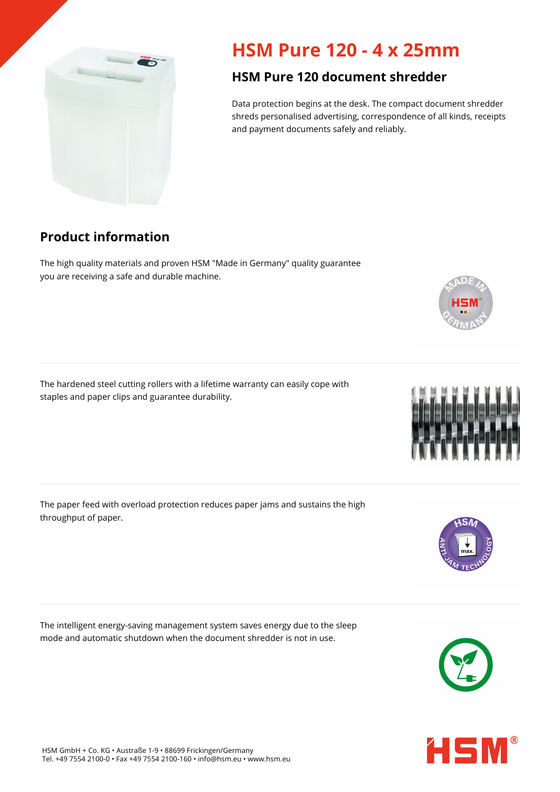

## **HSM Pure 120 - 4 x 25mm**

## **HSM Pure 120 document shredder**

Data protection begins at the desk. The compact document shredder shreds personalised advertising, correspondence of all kinds, receipts and payment documents safely and reliably.

## **Product information**

The high quality materials and proven HSM "Made in Germany" quality guarantee you are receiving a safe and durable machine.

The hardened steel cutting rollers with a lifetime warranty can easily cope with staples and paper clips and guarantee durability.

The paper feed with overload protection reduces paper jams and sustains the high throughput of paper.

The intelligent energy-saving management system saves energy due to the sleep mode and automatic shutdown when the document shredder is not in use.